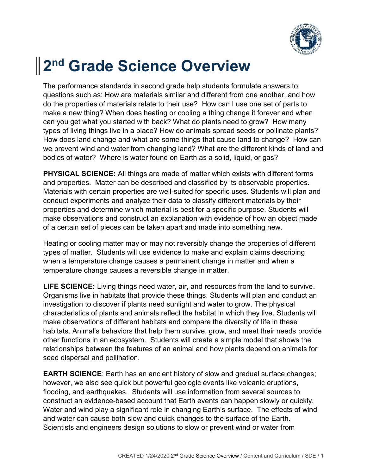

## **2 nd Grade Science Overview**

The performance standards in second grade help students formulate answers to questions such as: How are materials similar and different from one another, and how do the properties of materials relate to their use? How can I use one set of parts to make a new thing? When does heating or cooling a thing change it forever and when can you get what you started with back? What do plants need to grow? How many types of living things live in a place? How do animals spread seeds or pollinate plants? How does land change and what are some things that cause land to change? How can we prevent wind and water from changing land? What are the different kinds of land and bodies of water? Where is water found on Earth as a solid, liquid, or gas?

**PHYSICAL SCIENCE:** All things are made of matter which exists with different forms and properties. Matter can be described and classified by its observable properties. Materials with certain properties are well-suited for specific uses. Students will plan and conduct experiments and analyze their data to classify different materials by their properties and determine which material is best for a specific purpose. Students will make observations and construct an explanation with evidence of how an object made of a certain set of pieces can be taken apart and made into something new.

Heating or cooling matter may or may not reversibly change the properties of different types of matter. Students will use evidence to make and explain claims describing when a temperature change causes a permanent change in matter and when a temperature change causes a reversible change in matter.

**LIFE SCIENCE:** Living things need water, air, and resources from the land to survive. Organisms live in habitats that provide these things. Students will plan and conduct an investigation to discover if plants need sunlight and water to grow. The physical characteristics of plants and animals reflect the habitat in which they live. Students will make observations of different habitats and compare the diversity of life in these habitats. Animal's behaviors that help them survive, grow, and meet their needs provide other functions in an ecosystem. Students will create a simple model that shows the relationships between the features of an animal and how plants depend on animals for seed dispersal and pollination.

**EARTH SCIENCE**: Earth has an ancient history of slow and gradual surface changes; however, we also see quick but powerful geologic events like volcanic eruptions, flooding, and earthquakes. Students will use information from several sources to construct an evidence-based account that Earth events can happen slowly or quickly. Water and wind play a significant role in changing Earth's surface. The effects of wind and water can cause both slow and quick changes to the surface of the Earth. Scientists and engineers design solutions to slow or prevent wind or water from